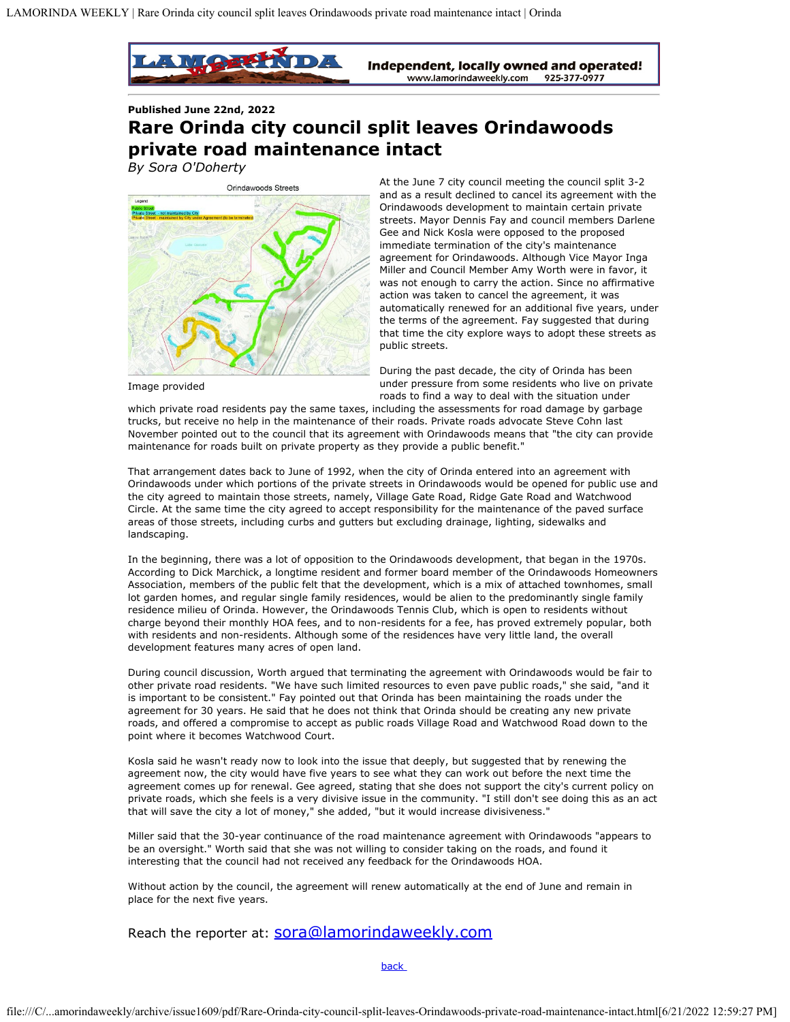

**Published June 22nd, 2022**

## **Rare Orinda city council split leaves Orindawoods private road maintenance intact**

*By Sora O'Doherty*



Image provided

At the June 7 city council meeting the council split 3-2 and as a result declined to cancel its agreement with the Orindawoods development to maintain certain private streets. Mayor Dennis Fay and council members Darlene Gee and Nick Kosla were opposed to the proposed immediate termination of the city's maintenance agreement for Orindawoods. Although Vice Mayor Inga Miller and Council Member Amy Worth were in favor, it was not enough to carry the action. Since no affirmative action was taken to cancel the agreement, it was automatically renewed for an additional five years, under the terms of the agreement. Fay suggested that during that time the city explore ways to adopt these streets as public streets.

During the past decade, the city of Orinda has been under pressure from some residents who live on private roads to find a way to deal with the situation under

which private road residents pay the same taxes, including the assessments for road damage by garbage trucks, but receive no help in the maintenance of their roads. Private roads advocate Steve Cohn last November pointed out to the council that its agreement with Orindawoods means that "the city can provide maintenance for roads built on private property as they provide a public benefit."

That arrangement dates back to June of 1992, when the city of Orinda entered into an agreement with Orindawoods under which portions of the private streets in Orindawoods would be opened for public use and the city agreed to maintain those streets, namely, Village Gate Road, Ridge Gate Road and Watchwood Circle. At the same time the city agreed to accept responsibility for the maintenance of the paved surface areas of those streets, including curbs and gutters but excluding drainage, lighting, sidewalks and landscaping.

In the beginning, there was a lot of opposition to the Orindawoods development, that began in the 1970s. According to Dick Marchick, a longtime resident and former board member of the Orindawoods Homeowners Association, members of the public felt that the development, which is a mix of attached townhomes, small lot garden homes, and regular single family residences, would be alien to the predominantly single family residence milieu of Orinda. However, the Orindawoods Tennis Club, which is open to residents without charge beyond their monthly HOA fees, and to non-residents for a fee, has proved extremely popular, both with residents and non-residents. Although some of the residences have very little land, the overall development features many acres of open land.

During council discussion, Worth argued that terminating the agreement with Orindawoods would be fair to other private road residents. "We have such limited resources to even pave public roads," she said, "and it is important to be consistent." Fay pointed out that Orinda has been maintaining the roads under the agreement for 30 years. He said that he does not think that Orinda should be creating any new private roads, and offered a compromise to accept as public roads Village Road and Watchwood Road down to the point where it becomes Watchwood Court.

Kosla said he wasn't ready now to look into the issue that deeply, but suggested that by renewing the agreement now, the city would have five years to see what they can work out before the next time the agreement comes up for renewal. Gee agreed, stating that she does not support the city's current policy on private roads, which she feels is a very divisive issue in the community. "I still don't see doing this as an act that will save the city a lot of money," she added, "but it would increase divisiveness."

Miller said that the 30-year continuance of the road maintenance agreement with Orindawoods "appears to be an oversight." Worth said that she was not willing to consider taking on the roads, and found it interesting that the council had not received any feedback for the Orindawoods HOA.

Without action by the council, the agreement will renew automatically at the end of June and remain in place for the next five years.

Reach the reporter at: **SOra@lamorindaweekly.com** 

**back**